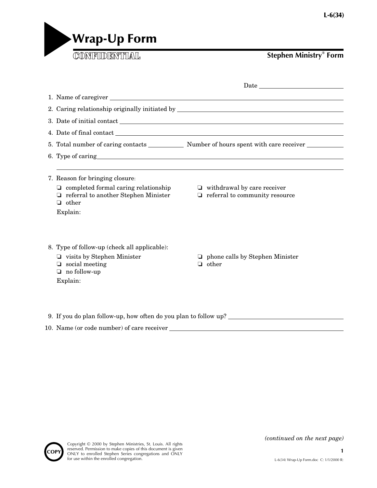

**Stephen Ministry® Form**

|                                                                                                                                                           | ${\it Date} \begin{tabular}{ c c } \hline \rule{.4cm}{.4cm} \rule{.4cm}{.4cm} \rule{.4cm}{.4cm} \rule{.4cm}{.4cm} \rule{.4cm}{.4cm} \rule{.4cm}{.4cm} \rule{.4cm}{.4cm} \rule{.4cm}{.4cm} \rule{.4cm}{.4cm} \rule{.4cm}{.4cm} \rule{.4cm}{.4cm} \rule{.4cm}{.4cm} \rule{.4cm}{.4cm} \rule{.4cm}{.4cm} \rule{.4cm}{.4cm} \rule{.4cm}{.4cm} \rule{.4cm}{.4cm} \rule{.4cm}{.4cm} \rule{$ |  |
|-----------------------------------------------------------------------------------------------------------------------------------------------------------|---------------------------------------------------------------------------------------------------------------------------------------------------------------------------------------------------------------------------------------------------------------------------------------------------------------------------------------------------------------------------------------|--|
|                                                                                                                                                           |                                                                                                                                                                                                                                                                                                                                                                                       |  |
|                                                                                                                                                           | 2. Caring relationship originally initiated by example of the state of the state of the state of the state of the state of the state of the state of the state of the state of the state of the state of the state of the stat                                                                                                                                                        |  |
|                                                                                                                                                           | 3. Date of initial contact                                                                                                                                                                                                                                                                                                                                                            |  |
|                                                                                                                                                           |                                                                                                                                                                                                                                                                                                                                                                                       |  |
|                                                                                                                                                           |                                                                                                                                                                                                                                                                                                                                                                                       |  |
|                                                                                                                                                           |                                                                                                                                                                                                                                                                                                                                                                                       |  |
|                                                                                                                                                           |                                                                                                                                                                                                                                                                                                                                                                                       |  |
| 7. Reason for bringing closure:                                                                                                                           |                                                                                                                                                                                                                                                                                                                                                                                       |  |
| $\Box$ completed formal caring relationship<br>$\Box$ referral to another Stephen Minister<br>$\Box$ other                                                | $\Box$ withdrawal by care receiver<br>$\Box$ referral to community resource                                                                                                                                                                                                                                                                                                           |  |
| Explain:<br>8. Type of follow-up (check all applicable):<br>$\Box$ visits by Stephen Minister<br>$\Box$ social meeting<br>$\Box$ no follow-up<br>Explain: | $\Box$ phone calls by Stephen Minister<br>$\Box$ other                                                                                                                                                                                                                                                                                                                                |  |
| 9. If you do plan follow-up, how often do you plan to follow up?                                                                                          |                                                                                                                                                                                                                                                                                                                                                                                       |  |

10. Name (or code number) of care receiver